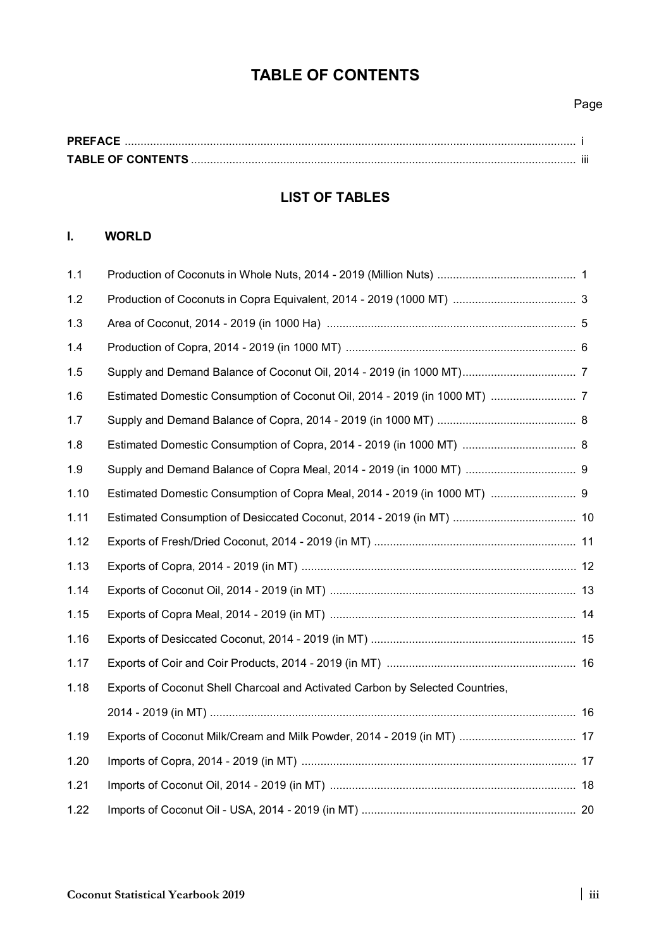# **TABLE OF CONTENTS**

## Page

| <b>PREFACE</b>           |  |
|--------------------------|--|
| <b>TABLE OF CONTENTS</b> |  |

## **LIST OF TABLES**

## **I. WORLD**

| 1.1  |                                                                               |  |
|------|-------------------------------------------------------------------------------|--|
| 1.2  |                                                                               |  |
| 1.3  |                                                                               |  |
| 1.4  |                                                                               |  |
| 1.5  |                                                                               |  |
| 1.6  |                                                                               |  |
| 1.7  |                                                                               |  |
| 1.8  |                                                                               |  |
| 1.9  |                                                                               |  |
| 1.10 | Estimated Domestic Consumption of Copra Meal, 2014 - 2019 (in 1000 MT)  9     |  |
| 1.11 |                                                                               |  |
| 1.12 |                                                                               |  |
| 1.13 |                                                                               |  |
| 1.14 |                                                                               |  |
| 1.15 |                                                                               |  |
| 1.16 |                                                                               |  |
| 1.17 |                                                                               |  |
| 1.18 | Exports of Coconut Shell Charcoal and Activated Carbon by Selected Countries, |  |
|      |                                                                               |  |
| 1.19 |                                                                               |  |
| 1.20 |                                                                               |  |
| 1.21 |                                                                               |  |
| 1.22 |                                                                               |  |
|      |                                                                               |  |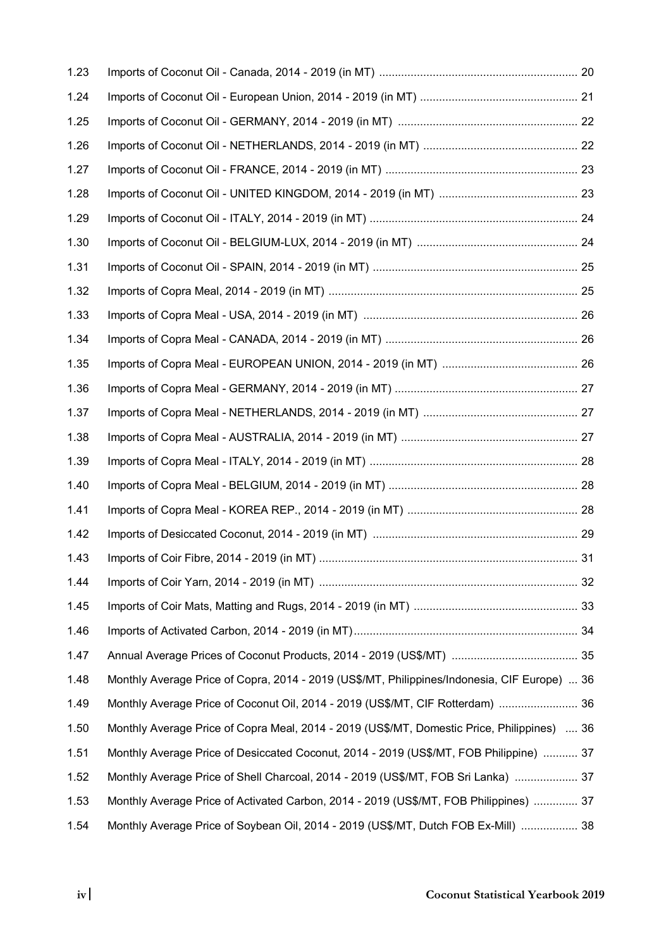| 1.23 |                                                                                              |  |
|------|----------------------------------------------------------------------------------------------|--|
| 1.24 |                                                                                              |  |
| 1.25 |                                                                                              |  |
| 1.26 |                                                                                              |  |
| 1.27 |                                                                                              |  |
| 1.28 |                                                                                              |  |
| 1.29 |                                                                                              |  |
| 1.30 |                                                                                              |  |
| 1.31 |                                                                                              |  |
| 1.32 |                                                                                              |  |
| 1.33 |                                                                                              |  |
| 1.34 |                                                                                              |  |
| 1.35 |                                                                                              |  |
| 1.36 |                                                                                              |  |
| 1.37 |                                                                                              |  |
| 1.38 |                                                                                              |  |
| 1.39 |                                                                                              |  |
| 1.40 |                                                                                              |  |
| 1.41 |                                                                                              |  |
| 1.42 |                                                                                              |  |
| 1.43 |                                                                                              |  |
| 1.44 |                                                                                              |  |
| 1.45 |                                                                                              |  |
| 1.46 |                                                                                              |  |
| 1.47 |                                                                                              |  |
| 1.48 | Monthly Average Price of Copra, 2014 - 2019 (US\$/MT, Philippines/Indonesia, CIF Europe)  36 |  |
| 1.49 | Monthly Average Price of Coconut Oil, 2014 - 2019 (US\$/MT, CIF Rotterdam)  36               |  |
| 1.50 | Monthly Average Price of Copra Meal, 2014 - 2019 (US\$/MT, Domestic Price, Philippines)  36  |  |
| 1.51 | Monthly Average Price of Desiccated Coconut, 2014 - 2019 (US\$/MT, FOB Philippine)  37       |  |
| 1.52 | Monthly Average Price of Shell Charcoal, 2014 - 2019 (US\$/MT, FOB Sri Lanka)  37            |  |
| 1.53 | Monthly Average Price of Activated Carbon, 2014 - 2019 (US\$/MT, FOB Philippines)  37        |  |
| 1.54 | Monthly Average Price of Soybean Oil, 2014 - 2019 (US\$/MT, Dutch FOB Ex-Mill)  38           |  |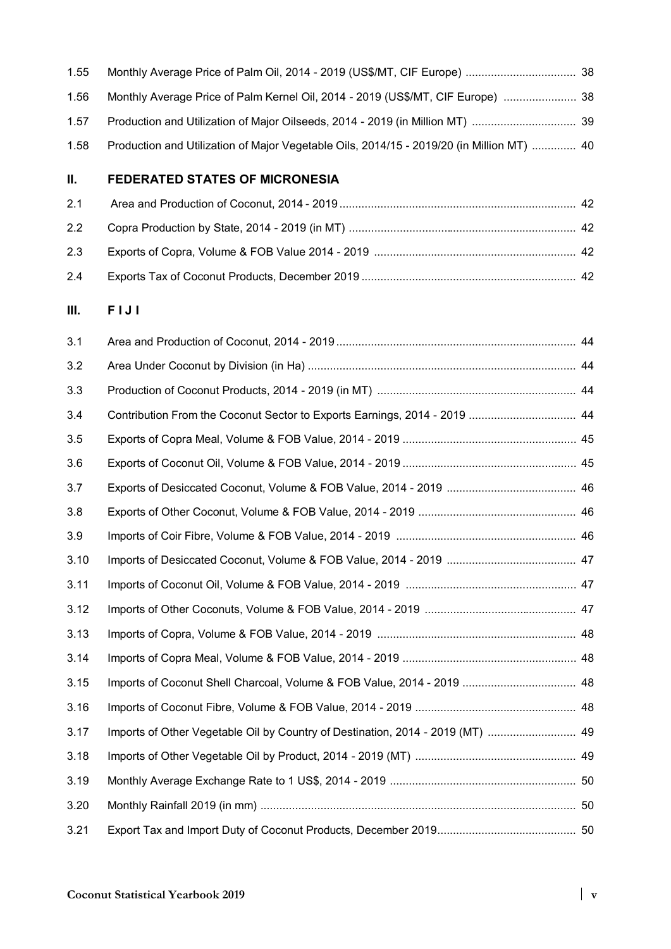| 1.55 |                                                                                           |  |
|------|-------------------------------------------------------------------------------------------|--|
| 1.56 | Monthly Average Price of Palm Kernel Oil, 2014 - 2019 (US\$/MT, CIF Europe)  38           |  |
| 1.57 |                                                                                           |  |
| 1.58 | Production and Utilization of Major Vegetable Oils, 2014/15 - 2019/20 (in Million MT)  40 |  |

#### $II.$ **II. FEDERATED STATES OF MICRONESIA**

#### **III. F I J I**

| 3.1  |                                                                           |  |
|------|---------------------------------------------------------------------------|--|
| 3.2  |                                                                           |  |
| 3.3  |                                                                           |  |
| 3.4  | Contribution From the Coconut Sector to Exports Earnings, 2014 - 2019  44 |  |
| 3.5  |                                                                           |  |
| 3.6  |                                                                           |  |
| 3.7  |                                                                           |  |
| 3.8  |                                                                           |  |
| 3.9  |                                                                           |  |
| 3.10 |                                                                           |  |
| 3.11 |                                                                           |  |
| 3.12 |                                                                           |  |
| 3.13 |                                                                           |  |
| 3.14 |                                                                           |  |
| 3.15 |                                                                           |  |
| 3.16 |                                                                           |  |
| 3.17 |                                                                           |  |
| 3.18 |                                                                           |  |
| 3.19 |                                                                           |  |
| 3.20 |                                                                           |  |
| 3.21 |                                                                           |  |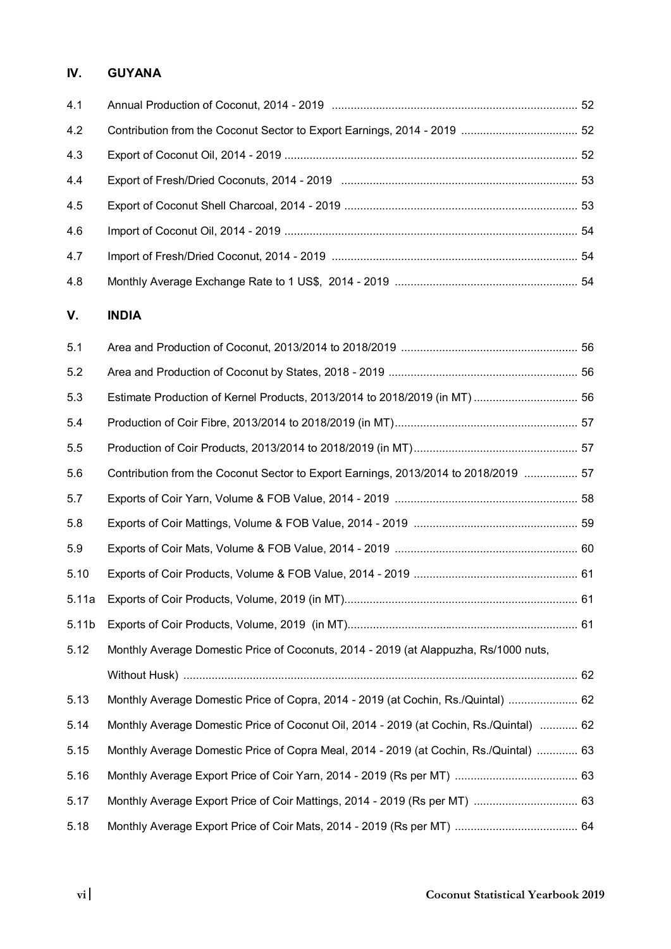## **IV. GUYANA**

| 4.1 |  |
|-----|--|
| 4.2 |  |
| 4.3 |  |
| 4.4 |  |
| 4.5 |  |
| 4.6 |  |
| 4.7 |  |
| 4.8 |  |

#### **V. INDIA**

| 5.1   |                                                                                         |  |
|-------|-----------------------------------------------------------------------------------------|--|
| 5.2   |                                                                                         |  |
| 5.3   |                                                                                         |  |
| 5.4   |                                                                                         |  |
| 5.5   |                                                                                         |  |
| 5.6   | Contribution from the Coconut Sector to Export Earnings, 2013/2014 to 2018/2019  57     |  |
| 5.7   |                                                                                         |  |
| 5.8   |                                                                                         |  |
| 5.9   |                                                                                         |  |
| 5.10  |                                                                                         |  |
| 5.11a |                                                                                         |  |
| 5.11b |                                                                                         |  |
| 5.12  | Monthly Average Domestic Price of Coconuts, 2014 - 2019 (at Alappuzha, Rs/1000 nuts,    |  |
|       |                                                                                         |  |
| 5.13  | Monthly Average Domestic Price of Copra, 2014 - 2019 (at Cochin, Rs./Quintal)  62       |  |
| 5.14  | Monthly Average Domestic Price of Coconut Oil, 2014 - 2019 (at Cochin, Rs./Quintal)  62 |  |
| 5.15  | Monthly Average Domestic Price of Copra Meal, 2014 - 2019 (at Cochin, Rs./Quintal)  63  |  |
| 5.16  |                                                                                         |  |
| 5.17  |                                                                                         |  |
| 5.18  |                                                                                         |  |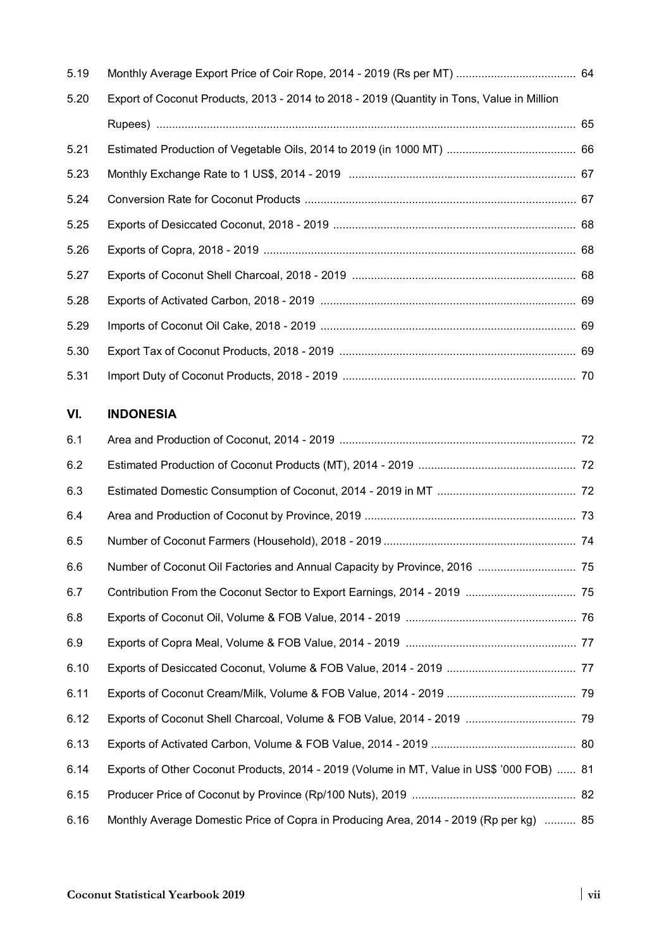| 5.19 |                                                                                            |  |
|------|--------------------------------------------------------------------------------------------|--|
| 5.20 | Export of Coconut Products, 2013 - 2014 to 2018 - 2019 (Quantity in Tons, Value in Million |  |
|      |                                                                                            |  |
| 5.21 |                                                                                            |  |
| 5.23 |                                                                                            |  |
| 5.24 |                                                                                            |  |
| 5.25 |                                                                                            |  |
| 5.26 |                                                                                            |  |
| 5.27 |                                                                                            |  |
| 5.28 |                                                                                            |  |
| 5.29 |                                                                                            |  |
| 5.30 |                                                                                            |  |
| 5.31 |                                                                                            |  |

### **VI. INDONESIA**

| 6.1  |                                                                                           |  |
|------|-------------------------------------------------------------------------------------------|--|
| 6.2  |                                                                                           |  |
| 6.3  |                                                                                           |  |
| 6.4  |                                                                                           |  |
| 6.5  |                                                                                           |  |
| 6.6  | Number of Coconut Oil Factories and Annual Capacity by Province, 2016  75                 |  |
| 6.7  |                                                                                           |  |
| 6.8  |                                                                                           |  |
| 6.9  |                                                                                           |  |
| 6.10 |                                                                                           |  |
| 6.11 |                                                                                           |  |
| 6.12 |                                                                                           |  |
| 6.13 |                                                                                           |  |
| 6.14 | Exports of Other Coconut Products, 2014 - 2019 (Volume in MT, Value in US\$ '000 FOB)  81 |  |
| 6.15 |                                                                                           |  |
| 6.16 | Monthly Average Domestic Price of Copra in Producing Area, 2014 - 2019 (Rp per kg)  85    |  |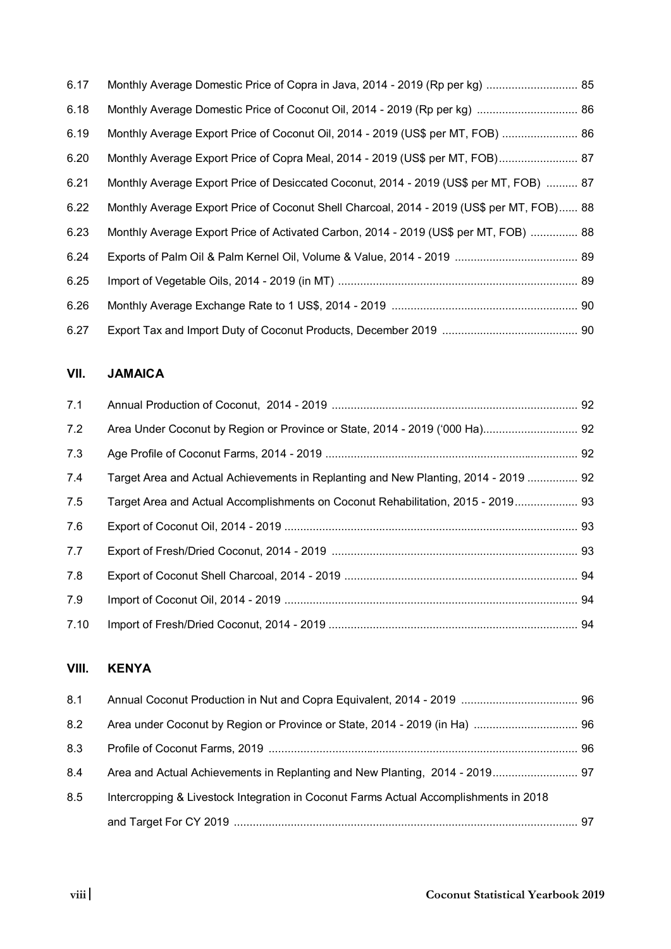| 6.17 |                                                                                           |  |
|------|-------------------------------------------------------------------------------------------|--|
| 6.18 |                                                                                           |  |
| 6.19 | Monthly Average Export Price of Coconut Oil, 2014 - 2019 (US\$ per MT, FOB)  86           |  |
| 6.20 | Monthly Average Export Price of Copra Meal, 2014 - 2019 (US\$ per MT, FOB) 87             |  |
| 6.21 | Monthly Average Export Price of Desiccated Coconut, 2014 - 2019 (US\$ per MT, FOB)  87    |  |
| 6.22 | Monthly Average Export Price of Coconut Shell Charcoal, 2014 - 2019 (US\$ per MT, FOB) 88 |  |
| 6.23 | Monthly Average Export Price of Activated Carbon, 2014 - 2019 (US\$ per MT, FOB)  88      |  |
| 6.24 |                                                                                           |  |
| 6.25 |                                                                                           |  |
| 6.26 |                                                                                           |  |
| 6.27 |                                                                                           |  |

#### **VII. JAMAICA**

| 7.1  |                                                                                     |  |
|------|-------------------------------------------------------------------------------------|--|
| 7.2  |                                                                                     |  |
| 7.3  |                                                                                     |  |
| 7.4  | Target Area and Actual Achievements in Replanting and New Planting, 2014 - 2019  92 |  |
| 7.5  | Target Area and Actual Accomplishments on Coconut Rehabilitation, 2015 - 2019 93    |  |
| 7.6  |                                                                                     |  |
| 7.7  |                                                                                     |  |
| 7.8  |                                                                                     |  |
| 7.9  |                                                                                     |  |
| 7.10 |                                                                                     |  |

## **VIII. KENYA**

| 8.1 |                                                                                       |  |
|-----|---------------------------------------------------------------------------------------|--|
| 8.2 |                                                                                       |  |
| 8.3 |                                                                                       |  |
| 8.4 | Area and Actual Achievements in Replanting and New Planting, 2014 - 2019 97           |  |
| 8.5 | Intercropping & Livestock Integration in Coconut Farms Actual Accomplishments in 2018 |  |
|     |                                                                                       |  |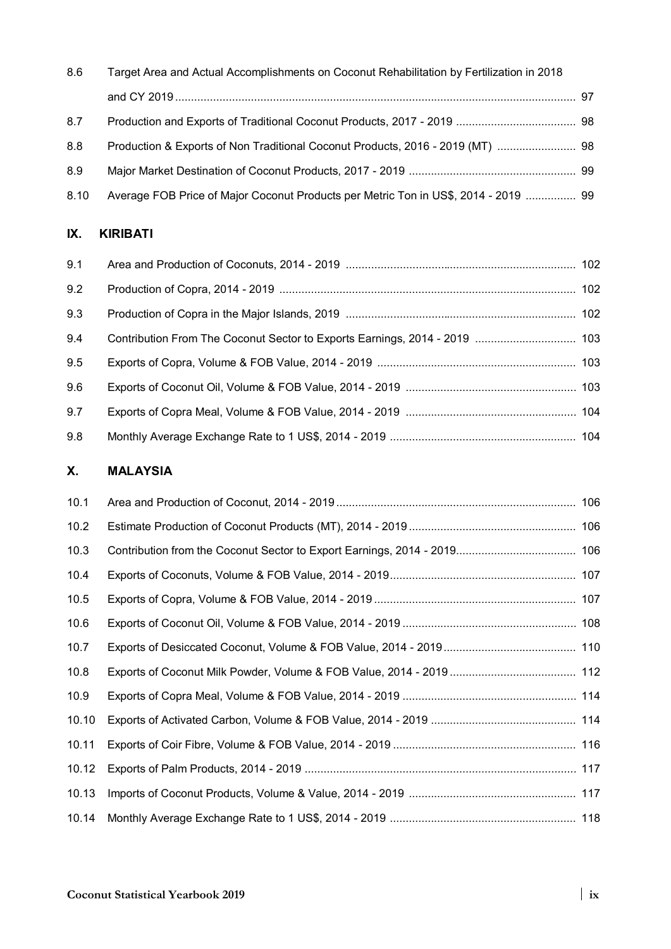| 8.6  | Target Area and Actual Accomplishments on Coconut Rehabilitation by Fertilization in 2018 |  |
|------|-------------------------------------------------------------------------------------------|--|
|      |                                                                                           |  |
| 8.7  |                                                                                           |  |
| 8.8  |                                                                                           |  |
| 8.9  |                                                                                           |  |
| 8.10 | Average FOB Price of Major Coconut Products per Metric Ton in US\$, 2014 - 2019  99       |  |

#### **IX. KIRIBATI**

| 9.1 |  |
|-----|--|
| 9.2 |  |
| 9.3 |  |
| 9.4 |  |
| 9.5 |  |
| 9.6 |  |
| 9.7 |  |
| 9.8 |  |

### **X. MALAYSIA**

| 10.1  |  |
|-------|--|
| 10.2  |  |
| 10.3  |  |
| 10.4  |  |
| 10.5  |  |
| 10.6  |  |
| 10.7  |  |
| 10.8  |  |
| 10.9  |  |
| 10.10 |  |
| 10.11 |  |
| 10.12 |  |
| 10.13 |  |
| 10.14 |  |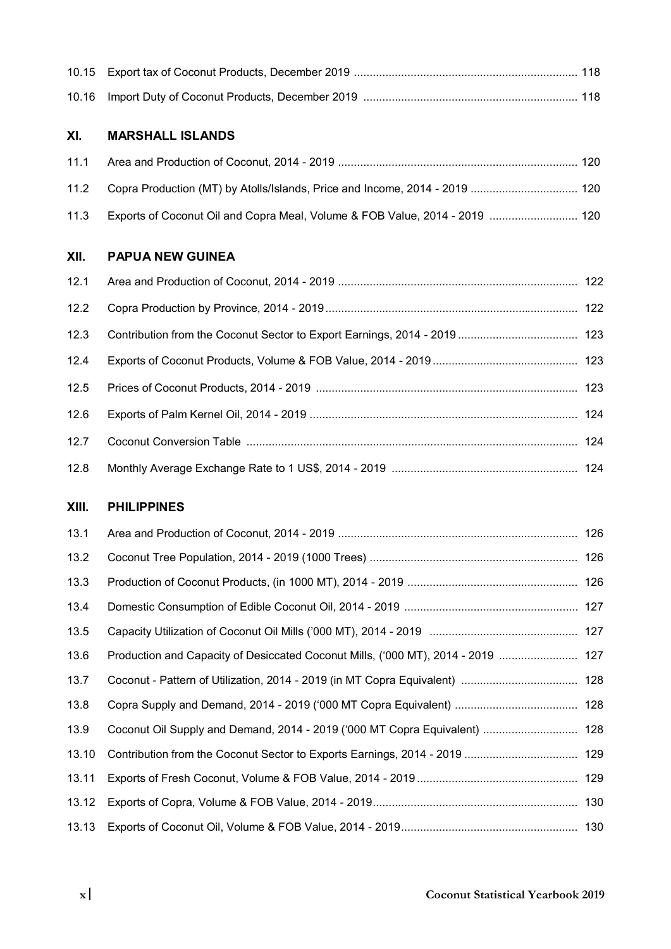#### **XI. MARSHALL ISLANDS**

| 11.1 |                                                                                  |  |
|------|----------------------------------------------------------------------------------|--|
|      | 11.2 Copra Production (MT) by Atolls/Islands, Price and Income, 2014 - 2019  120 |  |
| 11.3 | Exports of Coconut Oil and Copra Meal, Volume & FOB Value, 2014 - 2019  120      |  |

#### **XII. PAPUA NEW GUINEA**

| 12.2 |  |
|------|--|
| 12.3 |  |
| 12.4 |  |
| 12.5 |  |
| 12.6 |  |
| 12.7 |  |
| 12.8 |  |

#### **XIII. PHILIPPINES**

| 13.1  |                                                                            |  |
|-------|----------------------------------------------------------------------------|--|
| 13.2  |                                                                            |  |
| 13.3  |                                                                            |  |
| 13.4  |                                                                            |  |
| 13.5  |                                                                            |  |
| 13.6  |                                                                            |  |
| 13.7  |                                                                            |  |
| 13.8  |                                                                            |  |
| 13.9  | Coconut Oil Supply and Demand, 2014 - 2019 ('000 MT Copra Equivalent)  128 |  |
| 13.10 |                                                                            |  |
| 13.11 |                                                                            |  |
| 13.12 |                                                                            |  |
| 13.13 |                                                                            |  |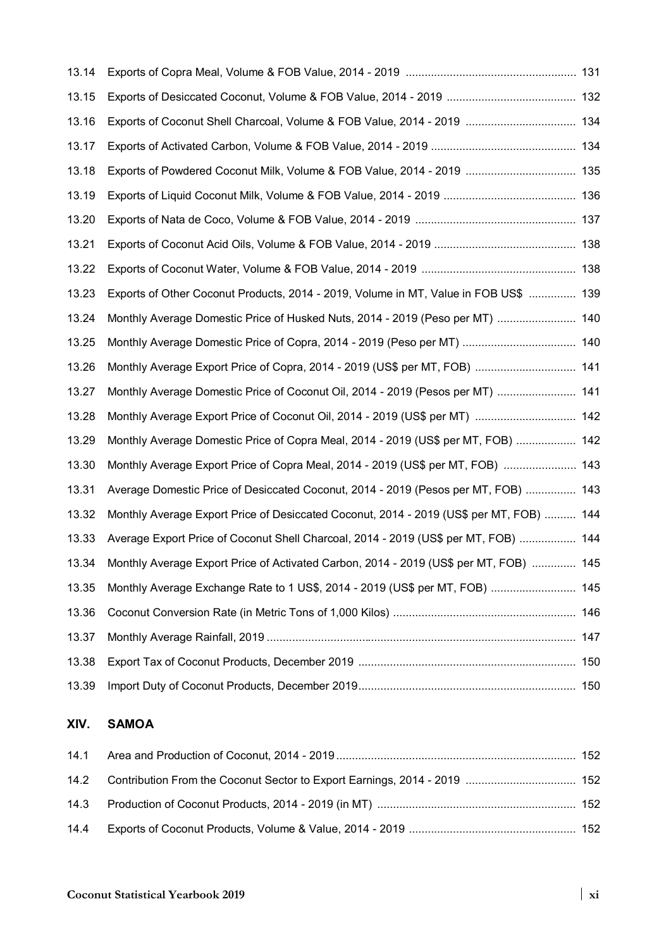| 13.14 |                                                                                         |  |
|-------|-----------------------------------------------------------------------------------------|--|
| 13.15 |                                                                                         |  |
| 13.16 | Exports of Coconut Shell Charcoal, Volume & FOB Value, 2014 - 2019  134                 |  |
| 13.17 |                                                                                         |  |
| 13.18 | Exports of Powdered Coconut Milk, Volume & FOB Value, 2014 - 2019  135                  |  |
| 13.19 |                                                                                         |  |
| 13.20 |                                                                                         |  |
| 13.21 |                                                                                         |  |
| 13.22 |                                                                                         |  |
| 13.23 | Exports of Other Coconut Products, 2014 - 2019, Volume in MT, Value in FOB US\$  139    |  |
| 13.24 | Monthly Average Domestic Price of Husked Nuts, 2014 - 2019 (Peso per MT)  140           |  |
| 13.25 |                                                                                         |  |
| 13.26 | Monthly Average Export Price of Copra, 2014 - 2019 (US\$ per MT, FOB)  141              |  |
| 13.27 | Monthly Average Domestic Price of Coconut Oil, 2014 - 2019 (Pesos per MT)  141          |  |
| 13.28 | Monthly Average Export Price of Coconut Oil, 2014 - 2019 (US\$ per MT)  142             |  |
| 13.29 | Monthly Average Domestic Price of Copra Meal, 2014 - 2019 (US\$ per MT, FOB)  142       |  |
| 13.30 | Monthly Average Export Price of Copra Meal, 2014 - 2019 (US\$ per MT, FOB)  143         |  |
| 13.31 | Average Domestic Price of Desiccated Coconut, 2014 - 2019 (Pesos per MT, FOB)  143      |  |
| 13.32 | Monthly Average Export Price of Desiccated Coconut, 2014 - 2019 (US\$ per MT, FOB)  144 |  |
| 13.33 | Average Export Price of Coconut Shell Charcoal, 2014 - 2019 (US\$ per MT, FOB)  144     |  |
| 13.34 | Monthly Average Export Price of Activated Carbon, 2014 - 2019 (US\$ per MT, FOB)  145   |  |
| 13.35 | Monthly Average Exchange Rate to 1 US\$, 2014 - 2019 (US\$ per MT, FOB)  145            |  |
| 13.36 |                                                                                         |  |
| 13.37 |                                                                                         |  |
| 13.38 |                                                                                         |  |
| 13.39 |                                                                                         |  |

#### **XIV. SAMOA**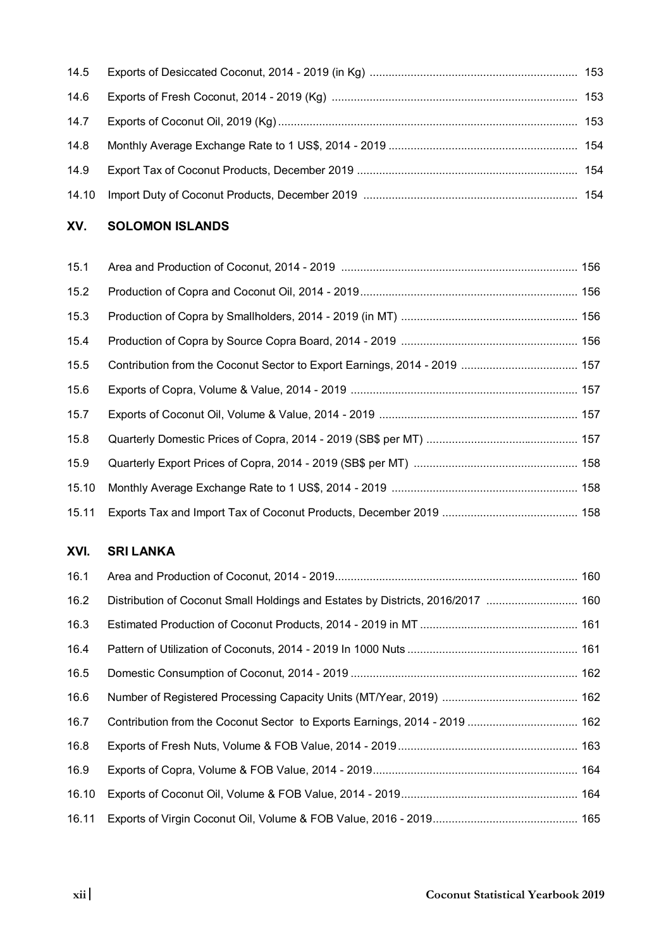| 14.6 |  |
|------|--|
|      |  |
|      |  |
| 14.9 |  |
|      |  |

#### **XV. SOLOMON ISLANDS**

| 15.1  |  |
|-------|--|
| 15.2  |  |
| 15.3  |  |
| 15.4  |  |
| 15.5  |  |
| 15.6  |  |
| 15.7  |  |
| 15.8  |  |
| 15.9  |  |
| 15.10 |  |
| 15.11 |  |

## **XVI. SRI LANKA**

| 16.1  |                                                                                 |  |
|-------|---------------------------------------------------------------------------------|--|
| 16.2  | Distribution of Coconut Small Holdings and Estates by Districts, 2016/2017  160 |  |
| 16.3  |                                                                                 |  |
| 16.4  |                                                                                 |  |
| 16.5  |                                                                                 |  |
| 16.6  |                                                                                 |  |
| 16.7  |                                                                                 |  |
| 16.8  |                                                                                 |  |
| 16.9  |                                                                                 |  |
| 16.10 |                                                                                 |  |
| 16.11 |                                                                                 |  |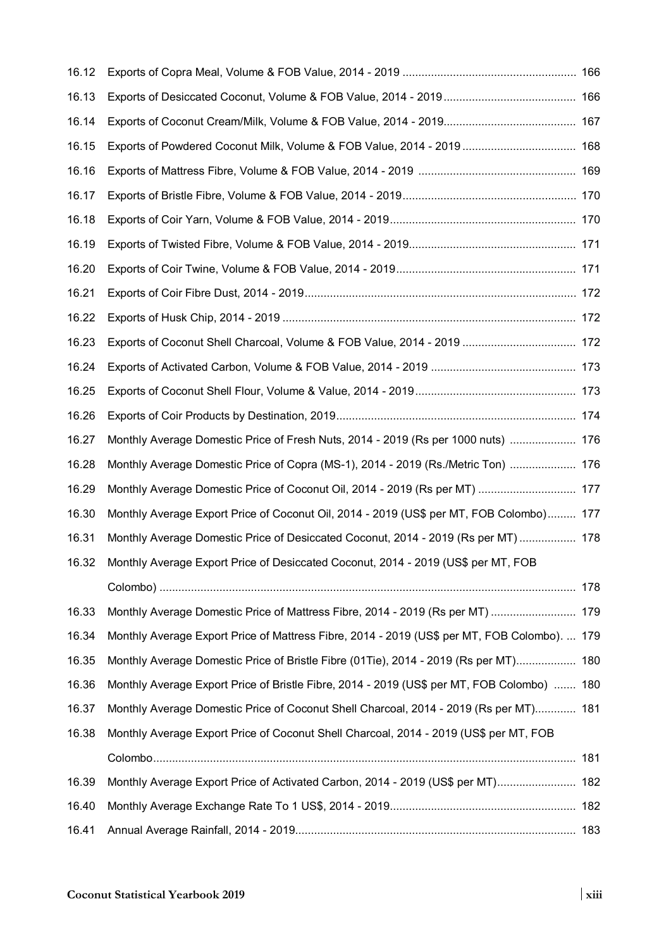| 16.12 |                                                                                              |  |
|-------|----------------------------------------------------------------------------------------------|--|
| 16.13 |                                                                                              |  |
| 16.14 |                                                                                              |  |
| 16.15 | Exports of Powdered Coconut Milk, Volume & FOB Value, 2014 - 2019  168                       |  |
| 16.16 |                                                                                              |  |
| 16.17 |                                                                                              |  |
| 16.18 |                                                                                              |  |
| 16.19 |                                                                                              |  |
| 16.20 |                                                                                              |  |
| 16.21 |                                                                                              |  |
| 16.22 |                                                                                              |  |
| 16.23 | Exports of Coconut Shell Charcoal, Volume & FOB Value, 2014 - 2019  172                      |  |
| 16.24 |                                                                                              |  |
| 16.25 |                                                                                              |  |
| 16.26 |                                                                                              |  |
| 16.27 | Monthly Average Domestic Price of Fresh Nuts, 2014 - 2019 (Rs per 1000 nuts)  176            |  |
| 16.28 | Monthly Average Domestic Price of Copra (MS-1), 2014 - 2019 (Rs./Metric Ton)  176            |  |
| 16.29 | Monthly Average Domestic Price of Coconut Oil, 2014 - 2019 (Rs per MT)  177                  |  |
| 16.30 | Monthly Average Export Price of Coconut Oil, 2014 - 2019 (US\$ per MT, FOB Colombo) 177      |  |
| 16.31 | Monthly Average Domestic Price of Desiccated Coconut, 2014 - 2019 (Rs per MT)  178           |  |
| 16.32 | Monthly Average Export Price of Desiccated Coconut, 2014 - 2019 (US\$ per MT, FOB            |  |
|       |                                                                                              |  |
| 16.33 | Monthly Average Domestic Price of Mattress Fibre, 2014 - 2019 (Rs per MT)  179               |  |
| 16.34 | Monthly Average Export Price of Mattress Fibre, 2014 - 2019 (US\$ per MT, FOB Colombo).  179 |  |
| 16.35 | Monthly Average Domestic Price of Bristle Fibre (01Tie), 2014 - 2019 (Rs per MT) 180         |  |
| 16.36 | Monthly Average Export Price of Bristle Fibre, 2014 - 2019 (US\$ per MT, FOB Colombo)  180   |  |
| 16.37 | Monthly Average Domestic Price of Coconut Shell Charcoal, 2014 - 2019 (Rs per MT) 181        |  |
| 16.38 | Monthly Average Export Price of Coconut Shell Charcoal, 2014 - 2019 (US\$ per MT, FOB        |  |
|       |                                                                                              |  |
| 16.39 | Monthly Average Export Price of Activated Carbon, 2014 - 2019 (US\$ per MT) 182              |  |
| 16.40 |                                                                                              |  |
| 16.41 |                                                                                              |  |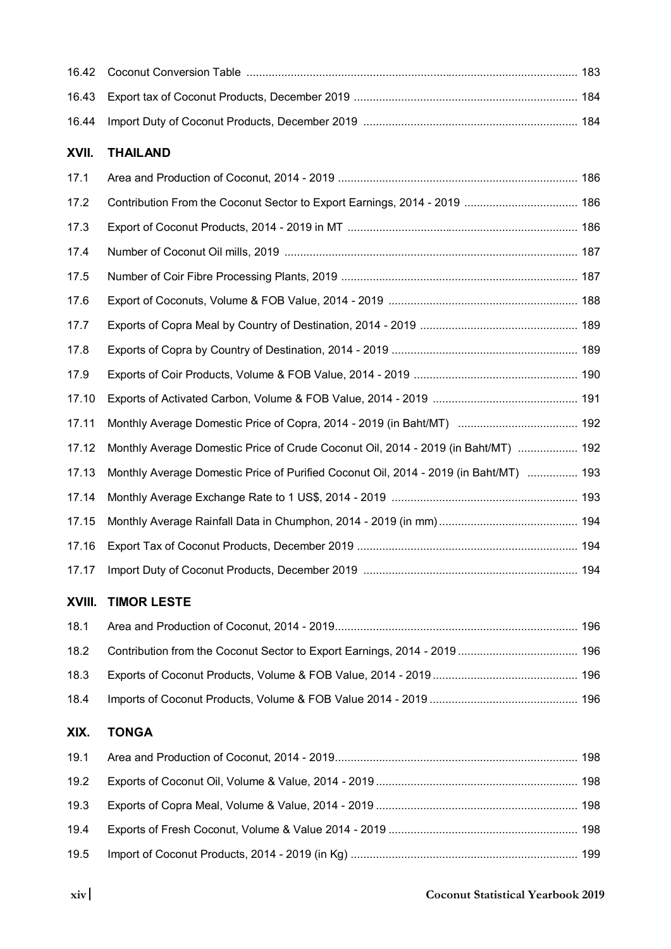#### **XVII. THAILAND**

| 17.1  |                                                                                       |  |
|-------|---------------------------------------------------------------------------------------|--|
| 17.2  |                                                                                       |  |
| 17.3  |                                                                                       |  |
| 17.4  |                                                                                       |  |
| 17.5  |                                                                                       |  |
| 17.6  |                                                                                       |  |
| 17.7  |                                                                                       |  |
| 17.8  |                                                                                       |  |
| 17.9  |                                                                                       |  |
| 17.10 |                                                                                       |  |
| 17.11 |                                                                                       |  |
| 17.12 | Monthly Average Domestic Price of Crude Coconut Oil, 2014 - 2019 (in Baht/MT)  192    |  |
| 17.13 | Monthly Average Domestic Price of Purified Coconut Oil, 2014 - 2019 (in Baht/MT)  193 |  |
| 17.14 |                                                                                       |  |
| 17.15 |                                                                                       |  |
| 17.16 |                                                                                       |  |
| 17.17 |                                                                                       |  |

## **XVIII. TIMOR LESTE**

|      | 196.2 Contribution from the Coconut Sector to Export Earnings, 2014 - 2019  196 |  |
|------|---------------------------------------------------------------------------------|--|
|      |                                                                                 |  |
| 18.4 |                                                                                 |  |

#### **XIX. TONGA**